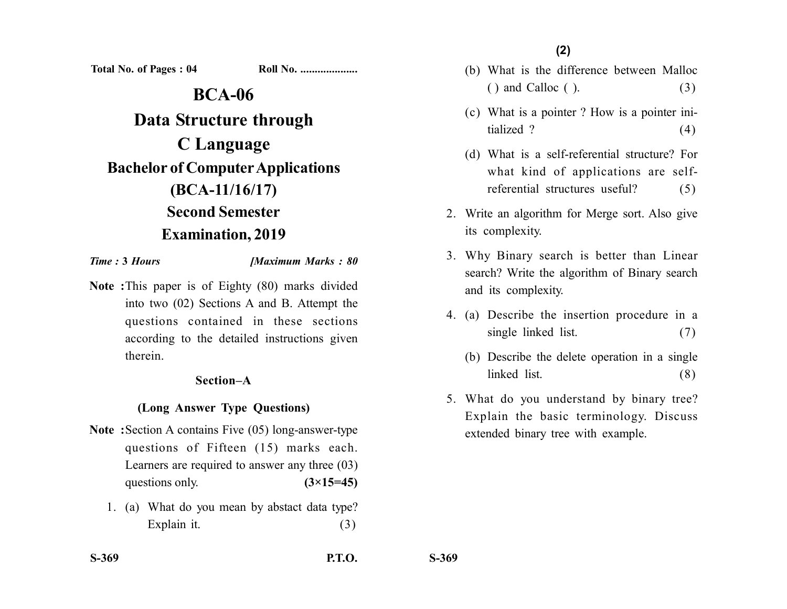**Total No. of Pages : 04 Roll No. ...................** 

**BCA-06 Data Structure through C Language Bachelor of Computer Applications (BCA-11/16/17) Second Semester Examination, 2019**

*Time :* **3** *Hours [Maximum Marks : 80*

**Note :**This paper is of Eighty (80) marks divided into two (02) Sections A and B. Attempt the questions contained in these sections according to the detailed instructions given therein.

## **Section–A**

# **(Long Answer Type Questions)**

- **Note :**Section A contains Five (05) long-answer-type questions of Fifteen (15) marks each. Learners are required to answer any three (03) questions only.  $(3\times15=45)$ 
	- 1. (a) What do you mean by abstact data type? Explain it. (3)

**(2)**

- (b) What is the difference between Malloc  $( )$  and Calloc  $( )$ .  $(3)$
- (c) What is a pointer ? How is a pointer initialized ?  $(4)$
- (d) What is a self-referential structure? For what kind of applications are selfreferential structures useful? (5)
- 2. Write an algorithm for Merge sort. Also give its complexity.
- 3. Why Binary search is better than Linear search? Write the algorithm of Binary search and its complexity.
- 4. (a) Describe the insertion procedure in a single linked list. (7)
	- (b) Describe the delete operation in a single linked list. (8)
- 5. What do you understand by binary tree? Explain the basic terminology. Discuss extended binary tree with example.

**S-369**